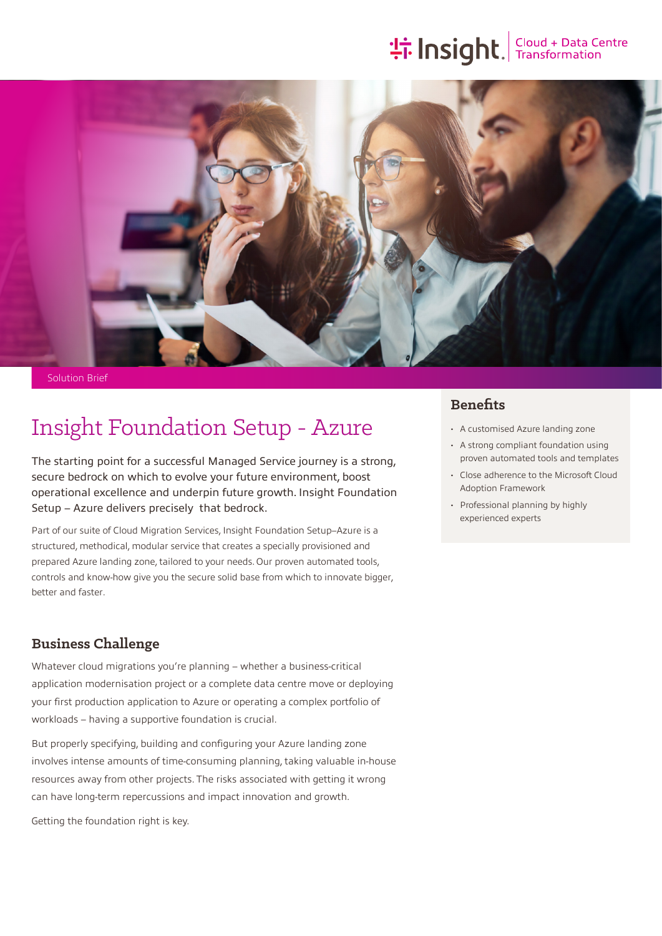# **the Insight**. Transformation



Solution Brief

## Insight Foundation Setup - Azure

The starting point for a successful Managed Service journey is a strong, secure bedrock on which to evolve your future environment, boost operational excellence and underpin future growth. Insight Foundation Setup – Azure delivers precisely that bedrock.

Part of our suite of Cloud Migration Services, Insight Foundation Setup–Azure is a structured, methodical, modular service that creates a specially provisioned and prepared Azure landing zone, tailored to your needs. Our proven automated tools, controls and know-how give you the secure solid base from which to innovate bigger, better and faster.

### **Business Challenge**

Whatever cloud migrations you're planning – whether a business-critical application modernisation project or a complete data centre move or deploying your first production application to Azure or operating a complex portfolio of workloads – having a supportive foundation is crucial.

But properly specifying, building and configuring your Azure landing zone involves intense amounts of time-consuming planning, taking valuable in-house resources away from other projects. The risks associated with getting it wrong can have long-term repercussions and impact innovation and growth.

Getting the foundation right is key.

### **Benefits**

- A customised Azure landing zone
- A strong compliant foundation using proven automated tools and templates
- Close adherence to the Microsoft Cloud Adoption Framework
- Professional planning by highly experienced experts